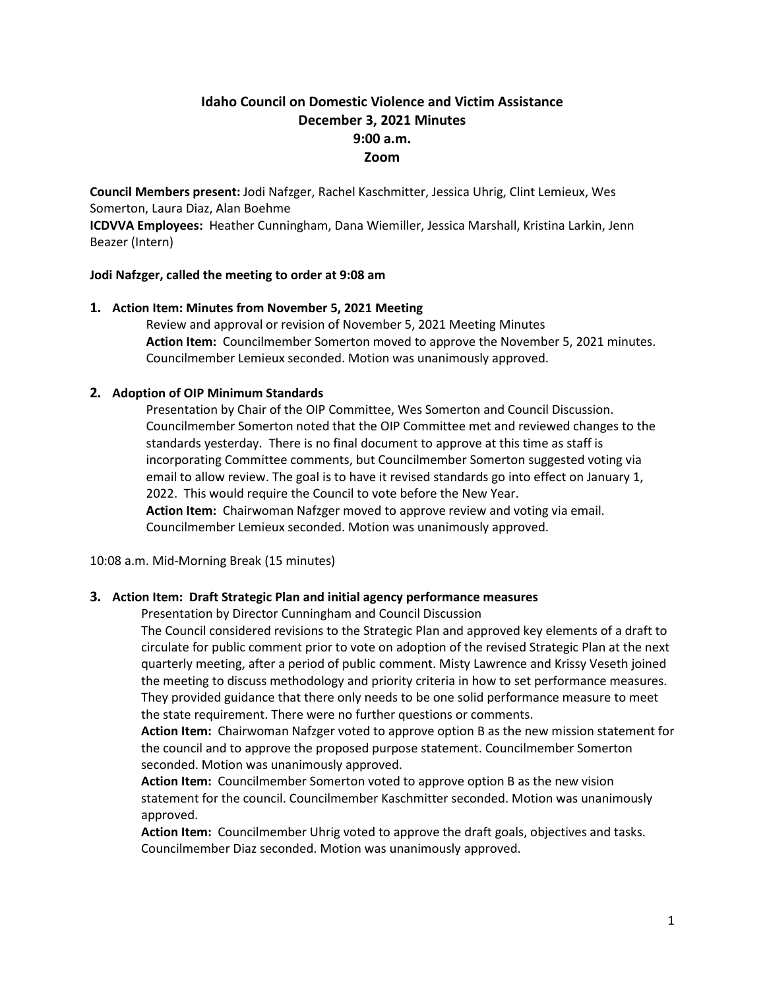# **Idaho Council on Domestic Violence and Victim Assistance December 3, 2021 Minutes 9:00 a.m. Zoom**

**Council Members present:** Jodi Nafzger, Rachel Kaschmitter, Jessica Uhrig, Clint Lemieux, Wes Somerton, Laura Diaz, Alan Boehme **ICDVVA Employees:** Heather Cunningham, Dana Wiemiller, Jessica Marshall, Kristina Larkin, Jenn

Beazer (Intern)

## **Jodi Nafzger, called the meeting to order at 9:08 am**

# **1. Action Item: Minutes from November 5, 2021 Meeting**

Review and approval or revision of November 5, 2021 Meeting Minutes **Action Item:** Councilmember Somerton moved to approve the November 5, 2021 minutes. Councilmember Lemieux seconded. Motion was unanimously approved.

# **2. Adoption of OIP Minimum Standards**

Presentation by Chair of the OIP Committee, Wes Somerton and Council Discussion. Councilmember Somerton noted that the OIP Committee met and reviewed changes to the standards yesterday. There is no final document to approve at this time as staff is incorporating Committee comments, but Councilmember Somerton suggested voting via email to allow review. The goal is to have it revised standards go into effect on January 1, 2022. This would require the Council to vote before the New Year.

**Action Item:** Chairwoman Nafzger moved to approve review and voting via email. Councilmember Lemieux seconded. Motion was unanimously approved.

10:08 a.m. Mid-Morning Break (15 minutes)

## **3. Action Item: Draft Strategic Plan and initial agency performance measures**

Presentation by Director Cunningham and Council Discussion

The Council considered revisions to the Strategic Plan and approved key elements of a draft to circulate for public comment prior to vote on adoption of the revised Strategic Plan at the next quarterly meeting, after a period of public comment. Misty Lawrence and Krissy Veseth joined the meeting to discuss methodology and priority criteria in how to set performance measures. They provided guidance that there only needs to be one solid performance measure to meet the state requirement. There were no further questions or comments.

**Action Item:** Chairwoman Nafzger voted to approve option B as the new mission statement for the council and to approve the proposed purpose statement. Councilmember Somerton seconded. Motion was unanimously approved.

**Action Item:** Councilmember Somerton voted to approve option B as the new vision statement for the council. Councilmember Kaschmitter seconded. Motion was unanimously approved.

**Action Item:** Councilmember Uhrig voted to approve the draft goals, objectives and tasks. Councilmember Diaz seconded. Motion was unanimously approved.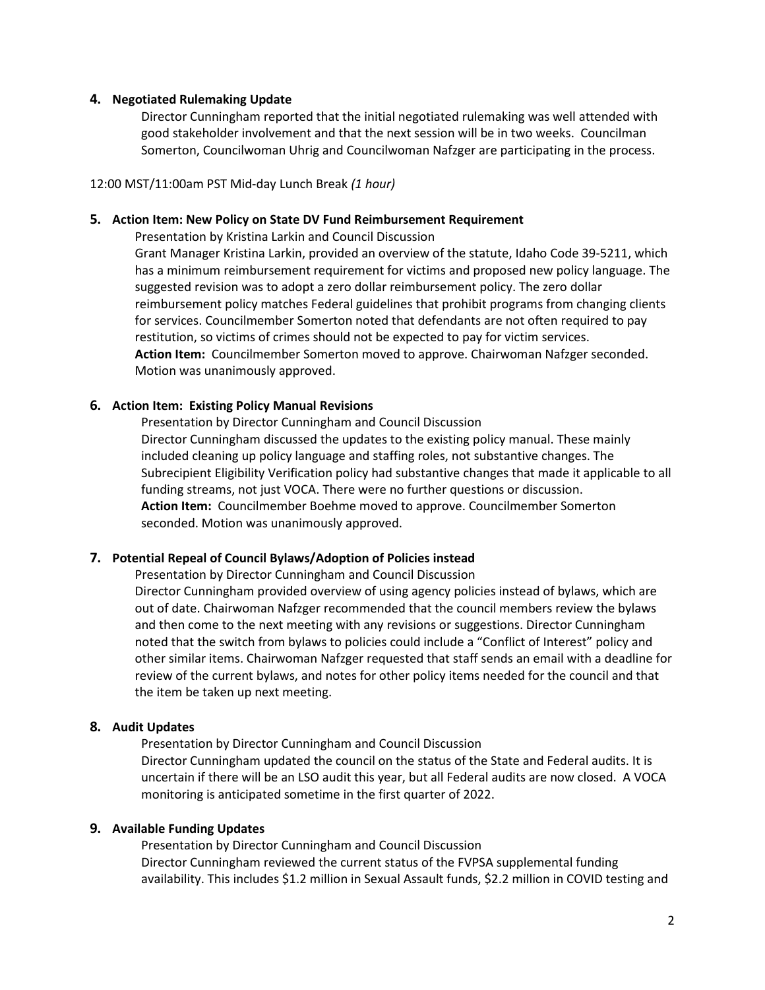#### **4. Negotiated Rulemaking Update**

Director Cunningham reported that the initial negotiated rulemaking was well attended with good stakeholder involvement and that the next session will be in two weeks. Councilman Somerton, Councilwoman Uhrig and Councilwoman Nafzger are participating in the process.

12:00 MST/11:00am PST Mid-day Lunch Break *(1 hour)* 

#### **5. Action Item: New Policy on State DV Fund Reimbursement Requirement**

Presentation by Kristina Larkin and Council Discussion

Grant Manager Kristina Larkin, provided an overview of the statute, Idaho Code 39-5211, which has a minimum reimbursement requirement for victims and proposed new policy language. The suggested revision was to adopt a zero dollar reimbursement policy. The zero dollar reimbursement policy matches Federal guidelines that prohibit programs from changing clients for services. Councilmember Somerton noted that defendants are not often required to pay restitution, so victims of crimes should not be expected to pay for victim services. **Action Item:** Councilmember Somerton moved to approve. Chairwoman Nafzger seconded. Motion was unanimously approved.

## **6. Action Item: Existing Policy Manual Revisions**

Presentation by Director Cunningham and Council Discussion Director Cunningham discussed the updates to the existing policy manual. These mainly included cleaning up policy language and staffing roles, not substantive changes. The Subrecipient Eligibility Verification policy had substantive changes that made it applicable to all funding streams, not just VOCA. There were no further questions or discussion. **Action Item:** Councilmember Boehme moved to approve. Councilmember Somerton seconded. Motion was unanimously approved.

## **7. Potential Repeal of Council Bylaws/Adoption of Policies instead**

Presentation by Director Cunningham and Council Discussion Director Cunningham provided overview of using agency policies instead of bylaws, which are out of date. Chairwoman Nafzger recommended that the council members review the bylaws and then come to the next meeting with any revisions or suggestions. Director Cunningham noted that the switch from bylaws to policies could include a "Conflict of Interest" policy and other similar items. Chairwoman Nafzger requested that staff sends an email with a deadline for review of the current bylaws, and notes for other policy items needed for the council and that the item be taken up next meeting.

## **8. Audit Updates**

Presentation by Director Cunningham and Council Discussion Director Cunningham updated the council on the status of the State and Federal audits. It is uncertain if there will be an LSO audit this year, but all Federal audits are now closed. A VOCA monitoring is anticipated sometime in the first quarter of 2022.

## **9. Available Funding Updates**

Presentation by Director Cunningham and Council Discussion Director Cunningham reviewed the current status of the FVPSA supplemental funding availability. This includes \$1.2 million in Sexual Assault funds, \$2.2 million in COVID testing and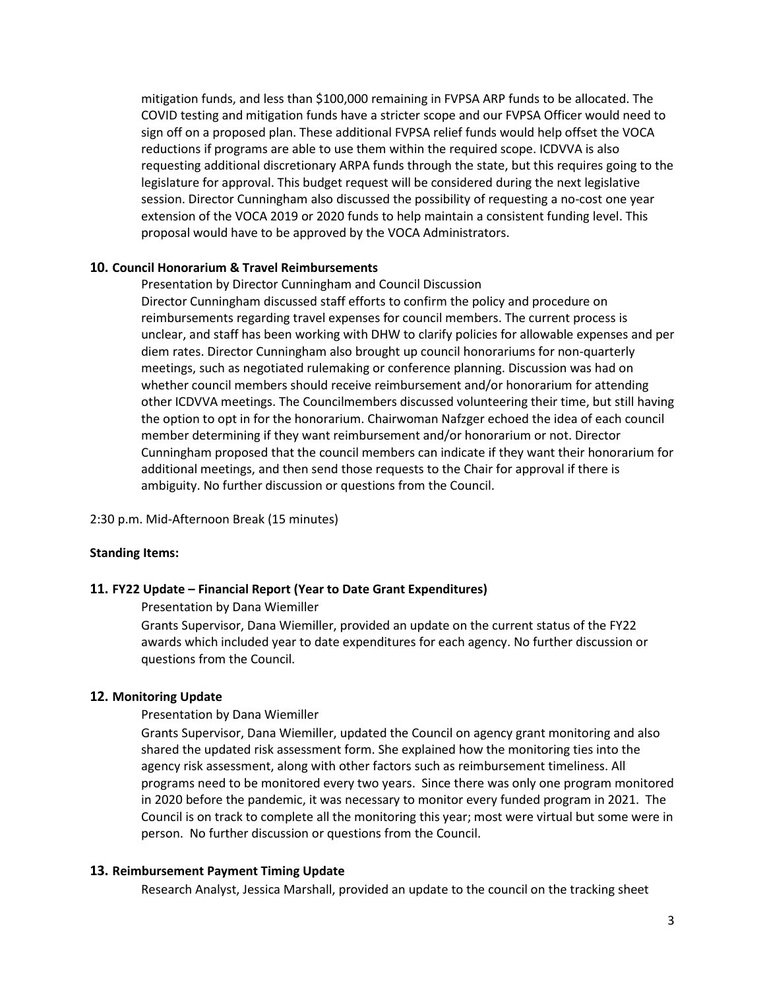mitigation funds, and less than \$100,000 remaining in FVPSA ARP funds to be allocated. The COVID testing and mitigation funds have a stricter scope and our FVPSA Officer would need to sign off on a proposed plan. These additional FVPSA relief funds would help offset the VOCA reductions if programs are able to use them within the required scope. ICDVVA is also requesting additional discretionary ARPA funds through the state, but this requires going to the legislature for approval. This budget request will be considered during the next legislative session. Director Cunningham also discussed the possibility of requesting a no-cost one year extension of the VOCA 2019 or 2020 funds to help maintain a consistent funding level. This proposal would have to be approved by the VOCA Administrators.

#### **10. Council Honorarium & Travel Reimbursements**

Presentation by Director Cunningham and Council Discussion Director Cunningham discussed staff efforts to confirm the policy and procedure on reimbursements regarding travel expenses for council members. The current process is unclear, and staff has been working with DHW to clarify policies for allowable expenses and per diem rates. Director Cunningham also brought up council honorariums for non-quarterly meetings, such as negotiated rulemaking or conference planning. Discussion was had on whether council members should receive reimbursement and/or honorarium for attending other ICDVVA meetings. The Councilmembers discussed volunteering their time, but still having the option to opt in for the honorarium. Chairwoman Nafzger echoed the idea of each council member determining if they want reimbursement and/or honorarium or not. Director Cunningham proposed that the council members can indicate if they want their honorarium for additional meetings, and then send those requests to the Chair for approval if there is ambiguity. No further discussion or questions from the Council.

2:30 p.m. Mid-Afternoon Break (15 minutes)

#### **Standing Items:**

#### **11. FY22 Update – Financial Report (Year to Date Grant Expenditures)**

Presentation by Dana Wiemiller

Grants Supervisor, Dana Wiemiller, provided an update on the current status of the FY22 awards which included year to date expenditures for each agency. No further discussion or questions from the Council.

#### **12. Monitoring Update**

#### Presentation by Dana Wiemiller

Grants Supervisor, Dana Wiemiller, updated the Council on agency grant monitoring and also shared the updated risk assessment form. She explained how the monitoring ties into the agency risk assessment, along with other factors such as reimbursement timeliness. All programs need to be monitored every two years. Since there was only one program monitored in 2020 before the pandemic, it was necessary to monitor every funded program in 2021. The Council is on track to complete all the monitoring this year; most were virtual but some were in person. No further discussion or questions from the Council.

#### **13. Reimbursement Payment Timing Update**

Research Analyst, Jessica Marshall, provided an update to the council on the tracking sheet